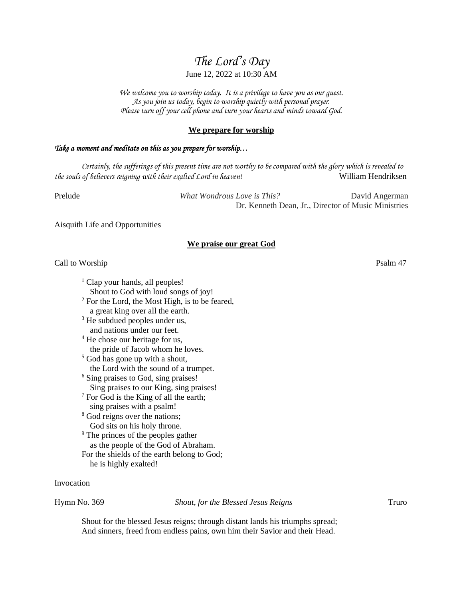# *The Lord's Day*

# June 12, 2022 at 10:30 AM

*We welcome you to worship today. It is a privilege to have you as our guest. As you join us today, begin to worship quietly with personal prayer. Please turn off your cell phone and turn your hearts and minds toward God.*

### **We prepare for worship**

# *Take a moment and meditate on this as you prepare for worship…*

*Certainly, the sufferings of this present time are not worthy to be compared with the glory which is revealed to the souls of believers reigning with their exalted Lord in heaven!* William Hendriksen

Prelude *What Wondrous Love is This?* David Angerman Dr. Kenneth Dean, Jr., Director of Music Ministries

Aisquith Life and Opportunities

### **We praise our great God**

## Call to Worship Psalm 47

 $<sup>1</sup>$  Clap your hands, all peoples!</sup> Shout to God with loud songs of joy! <sup>2</sup> For the Lord, the Most High, is to be feared,

- a great king over all the earth.
- <sup>3</sup> He subdued peoples under us, and nations under our feet.

<sup>4</sup> He chose our heritage for us, the pride of Jacob whom he loves.

- <sup>5</sup> God has gone up with a shout, the Lord with the sound of a trumpet.
- <sup>6</sup> Sing praises to God, sing praises! Sing praises to our King, sing praises!
- $7$  For God is the King of all the earth; sing praises with a psalm!
- <sup>8</sup> God reigns over the nations; God sits on his holy throne.
- <sup>9</sup> The princes of the peoples gather as the people of the God of Abraham. For the shields of the earth belong to God; he is highly exalted!

### Invocation

Hymn No. 369 *Shout, for the Blessed Jesus Reigns* Truro

Shout for the blessed Jesus reigns; through distant lands his triumphs spread; And sinners, freed from endless pains, own him their Savior and their Head.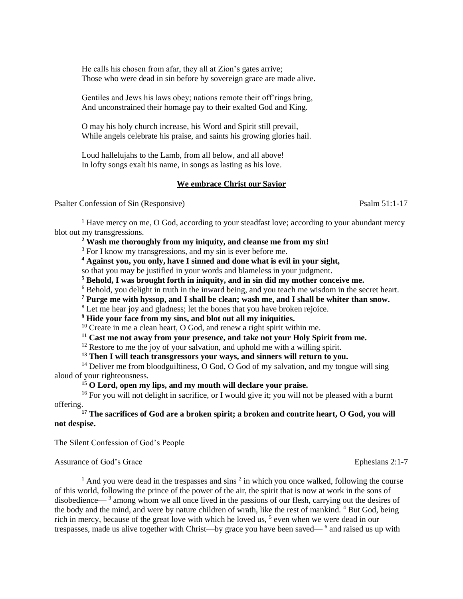He calls his chosen from afar, they all at Zion's gates arrive; Those who were dead in sin before by sovereign grace are made alive.

Gentiles and Jews his laws obey; nations remote their off'rings bring, And unconstrained their homage pay to their exalted God and King.

O may his holy church increase, his Word and Spirit still prevail, While angels celebrate his praise, and saints his growing glories hail.

Loud hallelujahs to the Lamb, from all below, and all above! In lofty songs exalt his name, in songs as lasting as his love.

# **We embrace Christ our Savior**

Psalter Confession of Sin (Responsive) Psalm 51:1-17

 $<sup>1</sup>$  Have mercy on me, O God, according to your steadfast love; according to your abundant mercy</sup> blot out my transgressions.

**<sup>2</sup> Wash me thoroughly from my iniquity, and cleanse me from my sin!**

<sup>3</sup> For I know my transgressions, and my sin is ever before me.

**<sup>4</sup> Against you, you only, have I sinned and done what is evil in your sight,** 

so that you may be justified in your words and blameless in your judgment.

**<sup>5</sup> Behold, I was brought forth in iniquity, and in sin did my mother conceive me.**

<sup>6</sup> Behold, you delight in truth in the inward being, and you teach me wisdom in the secret heart.

**<sup>7</sup> Purge me with hyssop, and I shall be clean; wash me, and I shall be whiter than snow.**

<sup>8</sup> Let me hear joy and gladness; let the bones that you have broken rejoice.

**<sup>9</sup> Hide your face from my sins, and blot out all my iniquities.**

 $10$  Create in me a clean heart, O God, and renew a right spirit within me.

**<sup>11</sup> Cast me not away from your presence, and take not your Holy Spirit from me.**

 $12$  Restore to me the joy of your salvation, and uphold me with a willing spirit.

**<sup>13</sup> Then I will teach transgressors your ways, and sinners will return to you.**

 $14$  Deliver me from bloodguiltiness, O God, O God of my salvation, and my tongue will sing aloud of your righteousness.

**<sup>15</sup> O Lord, open my lips, and my mouth will declare your praise.**

<sup>16</sup> For you will not delight in sacrifice, or I would give it; you will not be pleased with a burnt offering.

**<sup>17</sup> The sacrifices of God are a broken spirit; a broken and contrite heart, O God, you will not despise.**

The Silent Confession of God's People

Assurance of God's Grace Ephesians 2:1-7

 $<sup>1</sup>$  And you were dead in the trespasses and sins  $<sup>2</sup>$  in which you once walked, following the course</sup></sup> of this world, following the prince of the power of the air, the spirit that is now at work in the sons of disobedience— <sup>3</sup> among whom we all once lived in the passions of our flesh, carrying out the desires of the body and the mind, and were by nature children of wrath, like the rest of mankind. <sup>4</sup> But God, being rich in mercy, because of the great love with which he loved us,  $<sup>5</sup>$  even when we were dead in our</sup> trespasses, made us alive together with Christ—by grace you have been saved—<sup>6</sup> and raised us up with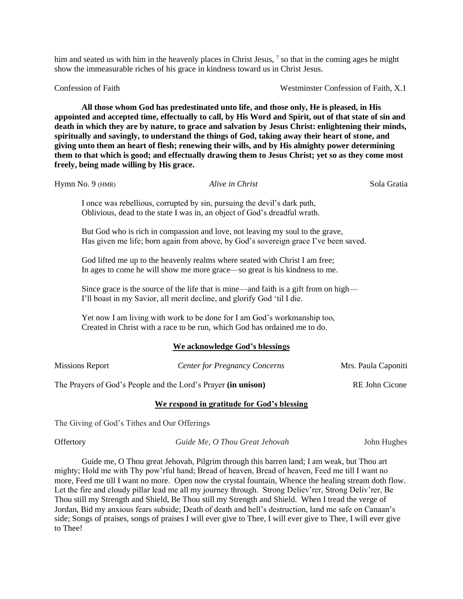him and seated us with him in the heavenly places in Christ Jesus, <sup>7</sup> so that in the coming ages he might show the immeasurable riches of his grace in kindness toward us in Christ Jesus.

Confession of Faith Westminster Confession of Faith, X.1

**All those whom God has predestinated unto life, and those only, He is pleased, in His appointed and accepted time, effectually to call, by His Word and Spirit, out of that state of sin and death in which they are by nature, to grace and salvation by Jesus Christ: enlightening their minds, spiritually and savingly, to understand the things of God, taking away their heart of stone, and giving unto them an heart of flesh; renewing their wills, and by His almighty power determining them to that which is good; and effectually drawing them to Jesus Christ; yet so as they come most freely, being made willing by His grace.**

Hymn No. 9 (HMR) *Alive in Christ* Sola Gratia

I once was rebellious, corrupted by sin, pursuing the devil's dark path, Oblivious, dead to the state I was in, an object of God's dreadful wrath.

But God who is rich in compassion and love, not leaving my soul to the grave, Has given me life; born again from above, by God's sovereign grace I've been saved.

God lifted me up to the heavenly realms where seated with Christ I am free; In ages to come he will show me more grace—so great is his kindness to me.

Since grace is the source of the life that is mine—and faith is a gift from on high— I'll boast in my Savior, all merit decline, and glorify God 'til I die.

Yet now I am living with work to be done for I am God's workmanship too, Created in Christ with a race to be run, which God has ordained me to do.

### **We acknowledge God's blessings**

| <b>Missions Report</b>                                        | <b>Center for Pregnancy Concerns</b>       | Mrs. Paula Caponiti |
|---------------------------------------------------------------|--------------------------------------------|---------------------|
| The Prayers of God's People and the Lord's Prayer (in unison) |                                            | RE John Cicone      |
|                                                               | We respond in gratitude for God's blessing |                     |

The Giving of God's Tithes and Our Offerings

Offertory *Guide Me, O Thou Great Jehovah* John Hughes

Guide me, O Thou great Jehovah, Pilgrim through this barren land; I am weak, but Thou art mighty; Hold me with Thy pow'rful hand; Bread of heaven, Bread of heaven, Feed me till I want no more, Feed me till I want no more. Open now the crystal fountain, Whence the healing stream doth flow. Let the fire and cloudy pillar lead me all my journey through. Strong Deliev'rer, Strong Deliv'rer, Be Thou still my Strength and Shield, Be Thou still my Strength and Shield. When I tread the verge of Jordan, Bid my anxious fears subside; Death of death and hell's destruction, land me safe on Canaan's side; Songs of praises, songs of praises I will ever give to Thee, I will ever give to Thee, I will ever give to Thee!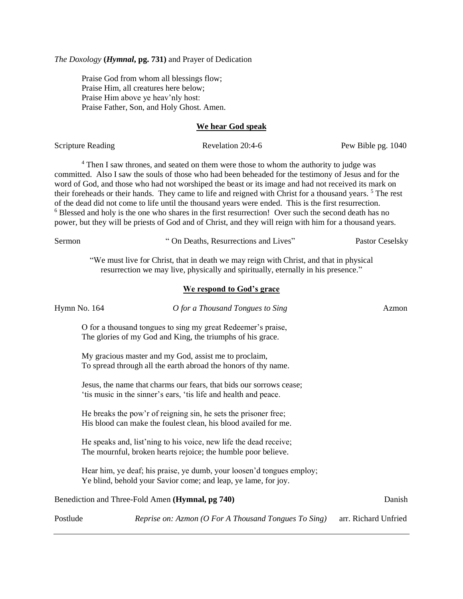*The Doxology* **(***Hymnal***, pg. 731)** and Prayer of Dedication

Praise God from whom all blessings flow; Praise Him, all creatures here below; Praise Him above ye heav'nly host: Praise Father, Son, and Holy Ghost. Amen.

### **We hear God speak**

Scripture Reading Revelation 20:4-6 Pew Bible pg. 1040

<sup>4</sup> Then I saw thrones, and seated on them were those to whom the authority to judge was committed. Also I saw the souls of those who had been beheaded for the testimony of Jesus and for the word of God, and those who had not worshiped the beast or its image and had not received its mark on their foreheads or their hands. They came to life and reigned with Christ for a thousand years.<sup>5</sup> The rest of the dead did not come to life until the thousand years were ended. This is the first resurrection. <sup>6</sup> Blessed and holy is the one who shares in the first resurrection! Over such the second death has no power, but they will be priests of God and of Christ, and they will reign with him for a thousand years.

| Sermon       | "On Deaths, Resurrections and Lives"                                                                                                                                        | Pastor Ceselsky      |
|--------------|-----------------------------------------------------------------------------------------------------------------------------------------------------------------------------|----------------------|
|              | "We must live for Christ, that in death we may reign with Christ, and that in physical<br>resurrection we may live, physically and spiritually, eternally in his presence." |                      |
|              | We respond to God's grace                                                                                                                                                   |                      |
| Hymn No. 164 | O for a Thousand Tongues to Sing                                                                                                                                            | Azmon                |
|              | O for a thousand tongues to sing my great Redeemer's praise,<br>The glories of my God and King, the triumphs of his grace.                                                  |                      |
|              | My gracious master and my God, assist me to proclaim,<br>To spread through all the earth abroad the honors of thy name.                                                     |                      |
|              | Jesus, the name that charms our fears, that bids our sorrows cease;<br>'tis music in the sinner's ears, 'tis life and health and peace.                                     |                      |
|              | He breaks the pow'r of reigning sin, he sets the prisoner free;<br>His blood can make the foulest clean, his blood availed for me.                                          |                      |
|              | He speaks and, list'ning to his voice, new life the dead receive;<br>The mournful, broken hearts rejoice; the humble poor believe.                                          |                      |
|              | Hear him, ye deaf; his praise, ye dumb, your loosen'd tongues employ;<br>Ye blind, behold your Savior come; and leap, ye lame, for joy.                                     |                      |
|              | Benediction and Three-Fold Amen (Hymnal, pg 740)                                                                                                                            | Danish               |
| Postlude     | Reprise on: Azmon (O For A Thousand Tongues To Sing)                                                                                                                        | arr. Richard Unfried |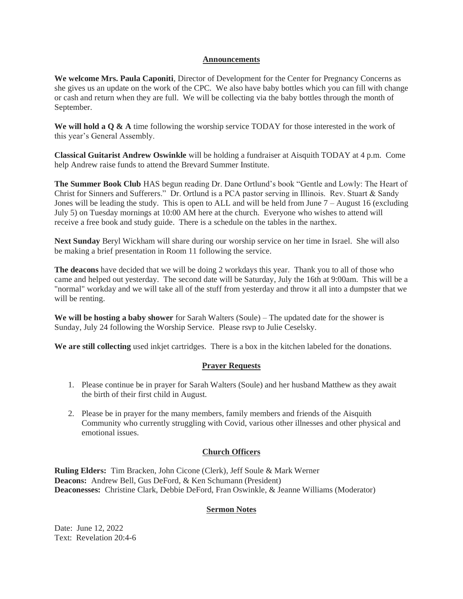### **Announcements**

**We welcome Mrs. Paula Caponiti**, Director of Development for the Center for Pregnancy Concerns as she gives us an update on the work of the CPC. We also have baby bottles which you can fill with change or cash and return when they are full. We will be collecting via the baby bottles through the month of September.

We will hold a Q & A time following the worship service TODAY for those interested in the work of this year's General Assembly.

**Classical Guitarist Andrew Oswinkle** will be holding a fundraiser at Aisquith TODAY at 4 p.m. Come help Andrew raise funds to attend the Brevard Summer Institute.

**The Summer Book Club** HAS begun reading Dr. Dane Ortlund's book "Gentle and Lowly: The Heart of Christ for Sinners and Sufferers." Dr. Ortlund is a PCA pastor serving in Illinois. Rev. Stuart & Sandy Jones will be leading the study. This is open to ALL and will be held from June  $7 -$ August 16 (excluding July 5) on Tuesday mornings at 10:00 AM here at the church. Everyone who wishes to attend will receive a free book and study guide. There is a schedule on the tables in the narthex.

**Next Sunday** Beryl Wickham will share during our worship service on her time in Israel. She will also be making a brief presentation in Room 11 following the service.

**The deacons** have decided that we will be doing 2 workdays this year. Thank you to all of those who came and helped out yesterday. The second date will be Saturday, July the 16th at 9:00am. This will be a "normal" workday and we will take all of the stuff from yesterday and throw it all into a dumpster that we will be renting.

**We will be hosting a baby shower** for Sarah Walters (Soule) – The updated date for the shower is Sunday, July 24 following the Worship Service. Please rsvp to Julie Ceselsky.

**We are still collecting** used inkjet cartridges. There is a box in the kitchen labeled for the donations.

# **Prayer Requests**

- 1. Please continue be in prayer for Sarah Walters (Soule) and her husband Matthew as they await the birth of their first child in August.
- 2. Please be in prayer for the many members, family members and friends of the Aisquith Community who currently struggling with Covid, various other illnesses and other physical and emotional issues.

# **Church Officers**

**Ruling Elders:** Tim Bracken, John Cicone (Clerk), Jeff Soule & Mark Werner **Deacons:** Andrew Bell, Gus DeFord, & Ken Schumann (President) **Deaconesses:** Christine Clark, Debbie DeFord, Fran Oswinkle, & Jeanne Williams (Moderator)

# **Sermon Notes**

Date: June 12, 2022 Text: Revelation 20:4-6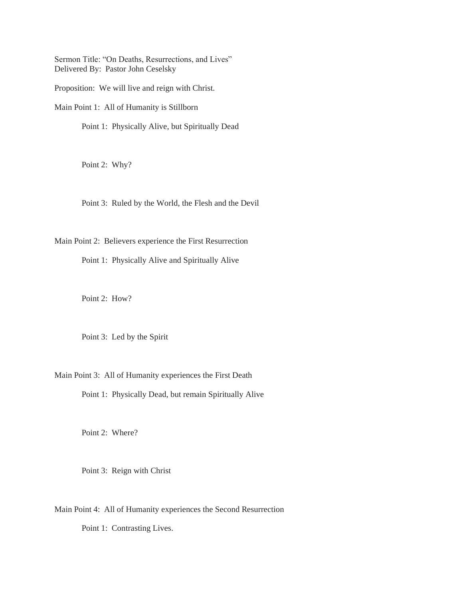Sermon Title: "On Deaths, Resurrections, and Lives" Delivered By: Pastor John Ceselsky

Proposition: We will live and reign with Christ.

Main Point 1: All of Humanity is Stillborn

Point 1: Physically Alive, but Spiritually Dead

Point 2: Why?

Point 3: Ruled by the World, the Flesh and the Devil

Main Point 2: Believers experience the First Resurrection

Point 1: Physically Alive and Spiritually Alive

Point 2: How?

Point 3: Led by the Spirit

Main Point 3: All of Humanity experiences the First Death

Point 1: Physically Dead, but remain Spiritually Alive

Point 2: Where?

Point 3: Reign with Christ

Main Point 4: All of Humanity experiences the Second Resurrection Point 1: Contrasting Lives.